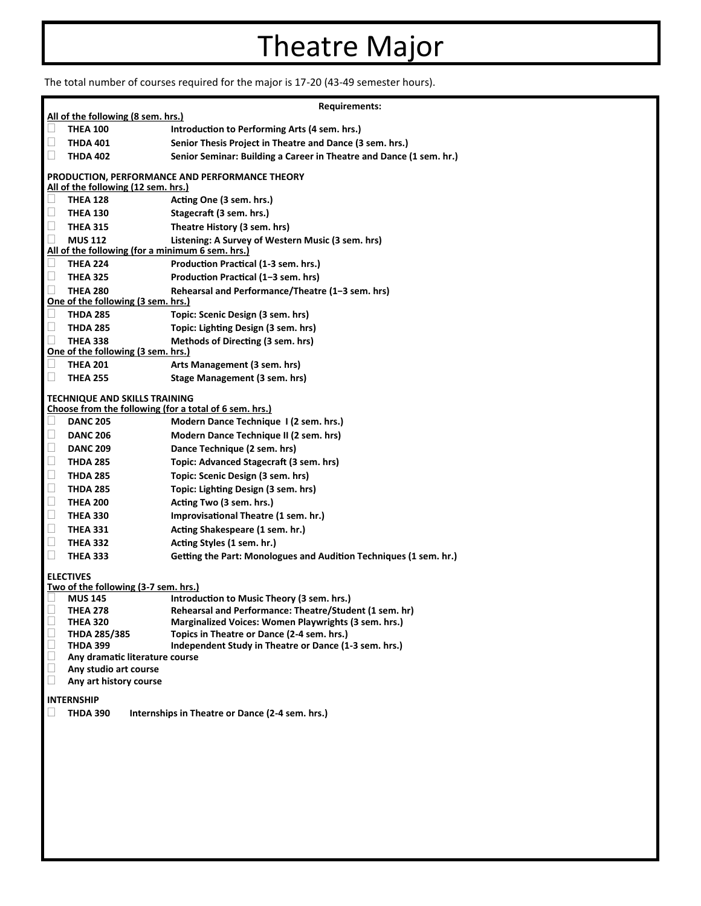## Theatre Major

The total number of courses required for the major is 17-20 (43-49 semester hours).

|                                                                                                |                                                  | <b>Requirements:</b>                                                                               |
|------------------------------------------------------------------------------------------------|--------------------------------------------------|----------------------------------------------------------------------------------------------------|
| All of the following (8 sem. hrs.)                                                             |                                                  |                                                                                                    |
| П                                                                                              | <b>THEA 100</b>                                  | Introduction to Performing Arts (4 sem. hrs.)                                                      |
| □                                                                                              | <b>THDA 401</b>                                  | Senior Thesis Project in Theatre and Dance (3 sem. hrs.)                                           |
| □                                                                                              | <b>THDA 402</b>                                  | Senior Seminar: Building a Career in Theatre and Dance (1 sem. hr.)                                |
| PRODUCTION, PERFORMANCE AND PERFORMANCE THEORY<br>All of the following (12 sem. hrs.)          |                                                  |                                                                                                    |
| $\Box$                                                                                         | <b>THEA 128</b>                                  | Acting One (3 sem. hrs.)                                                                           |
| □                                                                                              | <b>THEA 130</b>                                  | Stagecraft (3 sem. hrs.)                                                                           |
| $\Box$                                                                                         | <b>THEA 315</b>                                  | Theatre History (3 sem. hrs)                                                                       |
| $\Box$                                                                                         | <b>MUS 112</b>                                   | Listening: A Survey of Western Music (3 sem. hrs)                                                  |
|                                                                                                | All of the following (for a minimum 6 sem. hrs.) |                                                                                                    |
| u                                                                                              | <b>THEA 224</b>                                  | Production Practical (1-3 sem. hrs.)                                                               |
| $\Box$                                                                                         | <b>THEA 325</b>                                  | Production Practical (1-3 sem. hrs)                                                                |
| П                                                                                              | <b>THEA 280</b>                                  | Rehearsal and Performance/Theatre (1-3 sem. hrs)                                                   |
|                                                                                                | One of the following (3 sem. hrs.)               |                                                                                                    |
| □                                                                                              | <b>THDA 285</b>                                  | Topic: Scenic Design (3 sem. hrs)                                                                  |
| □                                                                                              | <b>THDA 285</b>                                  | Topic: Lighting Design (3 sem. hrs)                                                                |
| П                                                                                              | <b>THEA 338</b>                                  | Methods of Directing (3 sem. hrs)                                                                  |
| One of the following (3 sem. hrs.)                                                             |                                                  |                                                                                                    |
|                                                                                                | <b>THEA 201</b>                                  | Arts Management (3 sem. hrs)                                                                       |
| $\Box$                                                                                         | <b>THEA 255</b>                                  | Stage Management (3 sem. hrs)                                                                      |
|                                                                                                |                                                  |                                                                                                    |
| <b>TECHNIQUE AND SKILLS TRAINING</b><br>Choose from the following (for a total of 6 sem. hrs.) |                                                  |                                                                                                    |
| □                                                                                              | <b>DANC 205</b>                                  | Modern Dance Technique I (2 sem. hrs.)                                                             |
| $\Box$                                                                                         | <b>DANC 206</b>                                  | Modern Dance Technique II (2 sem. hrs)                                                             |
| $\Box$                                                                                         | <b>DANC 209</b>                                  | Dance Technique (2 sem. hrs)                                                                       |
| $\Box$                                                                                         | <b>THDA 285</b>                                  | Topic: Advanced Stagecraft (3 sem. hrs)                                                            |
| $\Box$                                                                                         | <b>THDA 285</b>                                  | Topic: Scenic Design (3 sem. hrs)                                                                  |
| $\Box$                                                                                         | <b>THDA 285</b>                                  |                                                                                                    |
| $\Box$                                                                                         |                                                  | Topic: Lighting Design (3 sem. hrs)                                                                |
|                                                                                                | <b>THEA 200</b>                                  | Acting Two (3 sem. hrs.)                                                                           |
| $\Box$                                                                                         | <b>THEA 330</b>                                  | Improvisational Theatre (1 sem. hr.)                                                               |
| $\Box$                                                                                         | <b>THEA 331</b>                                  | Acting Shakespeare (1 sem. hr.)                                                                    |
| $\Box$                                                                                         | <b>THEA 332</b>                                  | Acting Styles (1 sem. hr.)                                                                         |
| $\Box$                                                                                         | <b>THEA 333</b>                                  | Getting the Part: Monologues and Audition Techniques (1 sem. hr.)                                  |
| <b>ELECTIVES</b>                                                                               |                                                  |                                                                                                    |
|                                                                                                | Two of the following (3-7 sem. hrs.)             |                                                                                                    |
|                                                                                                | <b>MUS 145</b>                                   | Introduction to Music Theory (3 sem. hrs.)                                                         |
| $\Box$<br>$\Box$                                                                               | <b>THEA 278</b>                                  | Rehearsal and Performance: Theatre/Student (1 sem. hr)                                             |
| $\Box$                                                                                         | <b>THEA 320</b><br><b>THDA 285/385</b>           | Marginalized Voices: Women Playwrights (3 sem. hrs.)<br>Topics in Theatre or Dance (2-4 sem. hrs.) |
| $\Box$                                                                                         | <b>THDA 399</b>                                  | Independent Study in Theatre or Dance (1-3 sem. hrs.)                                              |
| $\Box$                                                                                         | Any dramatic literature course                   |                                                                                                    |
| $\Box$                                                                                         | Any studio art course                            |                                                                                                    |
| $\Box$                                                                                         | Any art history course                           |                                                                                                    |
|                                                                                                |                                                  |                                                                                                    |
| <b>INTERNSHIP</b><br>Internships in Theatre or Dance (2-4 sem. hrs.)                           |                                                  |                                                                                                    |
|                                                                                                | THDA 390                                         |                                                                                                    |
|                                                                                                |                                                  |                                                                                                    |
|                                                                                                |                                                  |                                                                                                    |
|                                                                                                |                                                  |                                                                                                    |
|                                                                                                |                                                  |                                                                                                    |
|                                                                                                |                                                  |                                                                                                    |
|                                                                                                |                                                  |                                                                                                    |
|                                                                                                |                                                  |                                                                                                    |
|                                                                                                |                                                  |                                                                                                    |
|                                                                                                |                                                  |                                                                                                    |
|                                                                                                |                                                  |                                                                                                    |